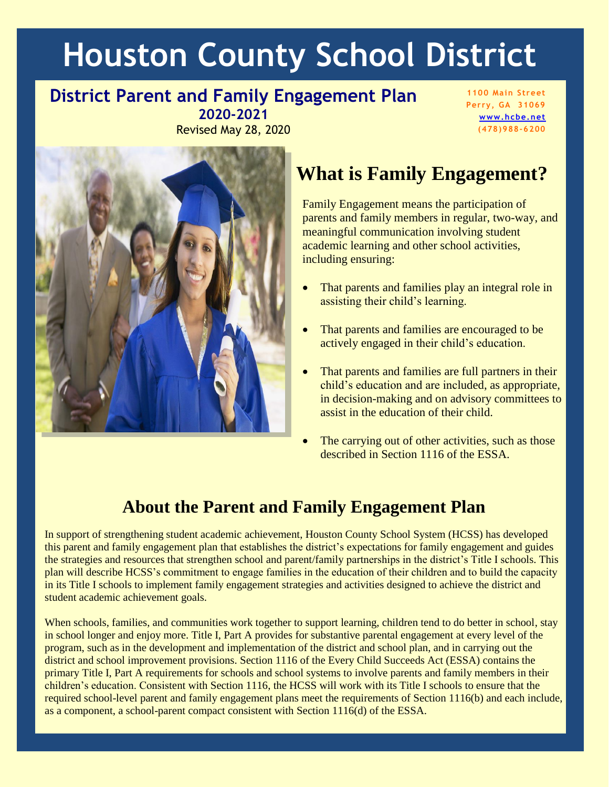# **Houston County School District**

#### **District Parent and Family Engagement Plan 2020-2021**

Revised May 28, 2020

**1100 Main Street Perry, GA 31069 [www.hcbe.net](http://www.hcbe.net/) (478)988-6200**



# **What is Family Engagement?**

Family Engagement means the participation of parents and family members in regular, two-way, and meaningful communication involving student academic learning and other school activities, including ensuring:

- That parents and families play an integral role in assisting their child's learning.
- That parents and families are encouraged to be actively engaged in their child's education.
- That parents and families are full partners in their child's education and are included, as appropriate, in decision-making and on advisory committees to assist in the education of their child.
- The carrying out of other activities, such as those described in Section 1116 of the ESSA.

### **About the Parent and Family Engagement Plan**

In support of strengthening student academic achievement, Houston County School System (HCSS) has developed this parent and family engagement plan that establishes the district's expectations for family engagement and guides the strategies and resources that strengthen school and parent/family partnerships in the district's Title I schools. This plan will describe HCSS's commitment to engage families in the education of their children and to build the capacity in its Title I schools to implement family engagement strategies and activities designed to achieve the district and student academic achievement goals.

When schools, families, and communities work together to support learning, children tend to do better in school, stay in school longer and enjoy more. Title I, Part A provides for substantive parental engagement at every level of the program, such as in the development and implementation of the district and school plan, and in carrying out the district and school improvement provisions. Section 1116 of the Every Child Succeeds Act (ESSA) contains the primary Title I, Part A requirements for schools and school systems to involve parents and family members in their children's education. Consistent with Section 1116, the HCSS will work with its Title I schools to ensure that the required school-level parent and family engagement plans meet the requirements of Section 1116(b) and each include, as a component, a school-parent compact consistent with Section 1116(d) of the ESSA.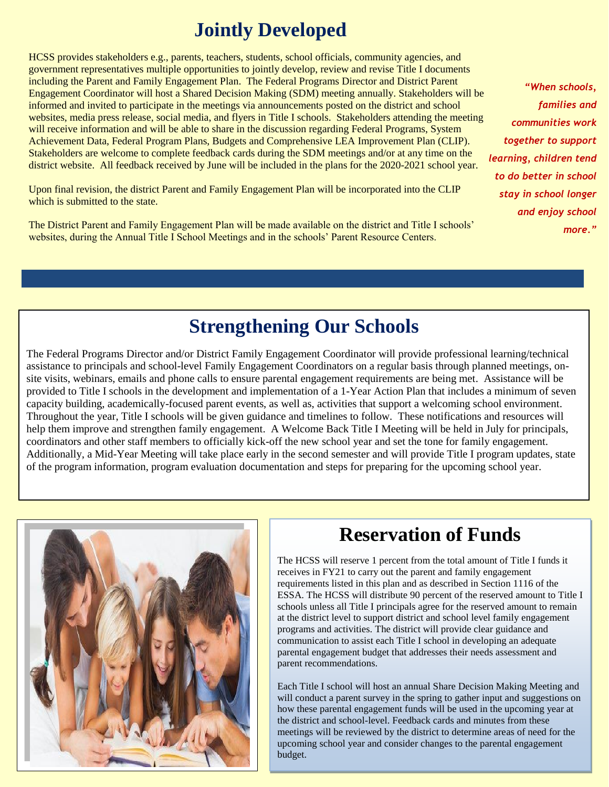### **Jointly Developed**

HCSS provides stakeholders e.g., parents, teachers, students, school officials, community agencies, and government representatives multiple opportunities to jointly develop, review and revise Title I documents including the Parent and Family Engagement Plan. The Federal Programs Director and District Parent Engagement Coordinator will host a Shared Decision Making (SDM) meeting annually. Stakeholders will be informed and invited to participate in the meetings via announcements posted on the district and school websites, media press release, social media, and flyers in Title I schools. Stakeholders attending the meeting will receive information and will be able to share in the discussion regarding Federal Programs, System Achievement Data, Federal Program Plans, Budgets and Comprehensive LEA Improvement Plan (CLIP). Stakeholders are welcome to complete feedback cards during the SDM meetings and/or at any time on the district website. All feedback received by June will be included in the plans for the 2020-2021 school year.

Upon final revision, the district Parent and Family Engagement Plan will be incorporated into the CLIP which is submitted to the state.

The District Parent and Family Engagement Plan will be made available on the district and Title I schools' websites, during the Annual Title I School Meetings and in the schools' Parent Resource Centers.

*"When schools, families and communities work together to support learning, children tend to do better in school stay in school longer and enjoy school more."* 

### **Strengthening Our Schools**

The Federal Programs Director and/or District Family Engagement Coordinator will provide professional learning/technical assistance to principals and school-level Family Engagement Coordinators on a regular basis through planned meetings, onsite visits, webinars, emails and phone calls to ensure parental engagement requirements are being met. Assistance will be provided to Title I schools in the development and implementation of a 1-Year Action Plan that includes a minimum of seven capacity building, academically-focused parent events, as well as, activities that support a welcoming school environment. Throughout the year, Title I schools will be given guidance and timelines to follow. These notifications and resources will help them improve and strengthen family engagement. A Welcome Back Title I Meeting will be held in July for principals, coordinators and other staff members to officially kick-off the new school year and set the tone for family engagement. Additionally, a Mid-Year Meeting will take place early in the second semester and will provide Title I program updates, state of the program information, program evaluation documentation and steps for preparing for the upcoming school year.



### **Reservation of Funds**

The HCSS will reserve 1 percent from the total amount of Title I funds it receives in FY21 to carry out the parent and family engagement requirements listed in this plan and as described in Section 1116 of the ESSA. The HCSS will distribute 90 percent of the reserved amount to Title I schools unless all Title I principals agree for the reserved amount to remain at the district level to support district and school level family engagement programs and activities. The district will provide clear guidance and communication to assist each Title I school in developing an adequate parental engagement budget that addresses their needs assessment and parent recommendations.

Each Title I school will host an annual Share Decision Making Meeting and will conduct a parent survey in the spring to gather input and suggestions on how these parental engagement funds will be used in the upcoming year at the district and school-level. Feedback cards and minutes from these meetings will be reviewed by the district to determine areas of need for the upcoming school year and consider changes to the parental engagement budget.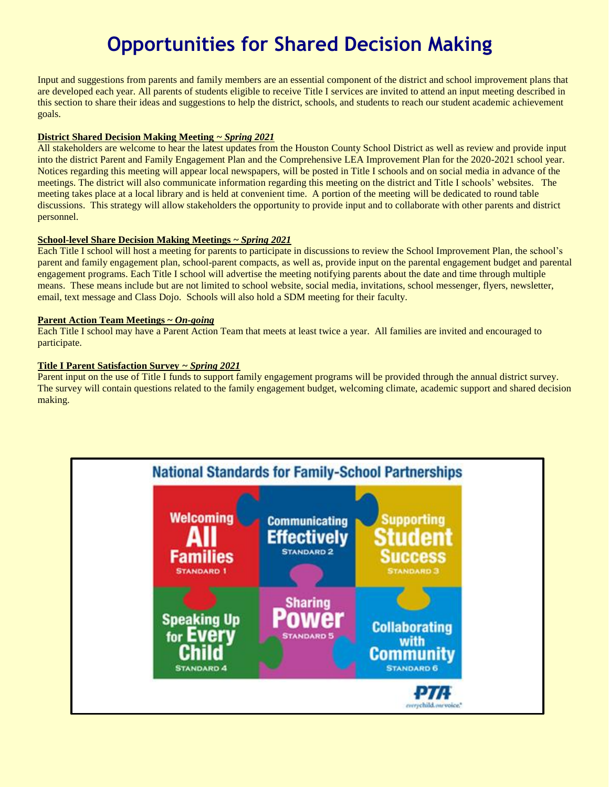# **Opportunities for Shared Decision Making**

Input and suggestions from parents and family members are an essential component of the district and school improvement plans that are developed each year. All parents of students eligible to receive Title I services are invited to attend an input meeting described in this section to share their ideas and suggestions to help the district, schools, and students to reach our student academic achievement goals.

#### **District Shared Decision Making Meeting** *~ Spring 2021*

All stakeholders are welcome to hear the latest updates from the Houston County School District as well as review and provide input into the district Parent and Family Engagement Plan and the Comprehensive LEA Improvement Plan for the 2020-2021 school year. Notices regarding this meeting will appear local newspapers, will be posted in Title I schools and on social media in advance of the meetings. The district will also communicate information regarding this meeting on the district and Title I schools' websites. The meeting takes place at a local library and is held at convenient time. A portion of the meeting will be dedicated to round table discussions. This strategy will allow stakeholders the opportunity to provide input and to collaborate with other parents and district personnel.

#### **School-level Share Decision Making Meetings ~** *Spring 2021*

Each Title I school will host a meeting for parents to participate in discussions to review the School Improvement Plan, the school's parent and family engagement plan, school-parent compacts, as well as, provide input on the parental engagement budget and parental engagement programs. Each Title I school will advertise the meeting notifying parents about the date and time through multiple means. These means include but are not limited to school website, social media, invitations, school messenger, flyers, newsletter, email, text message and Class Dojo. Schools will also hold a SDM meeting for their faculty.

#### **Parent Action Team Meetings ~** *On-going*

Each Title I school may have a Parent Action Team that meets at least twice a year. All families are invited and encouraged to participate.

#### **Title I Parent Satisfaction Survey** *~ Spring 2021*

Parent input on the use of Title I funds to support family engagement programs will be provided through the annual district survey. The survey will contain questions related to the family engagement budget, welcoming climate, academic support and shared decision making.

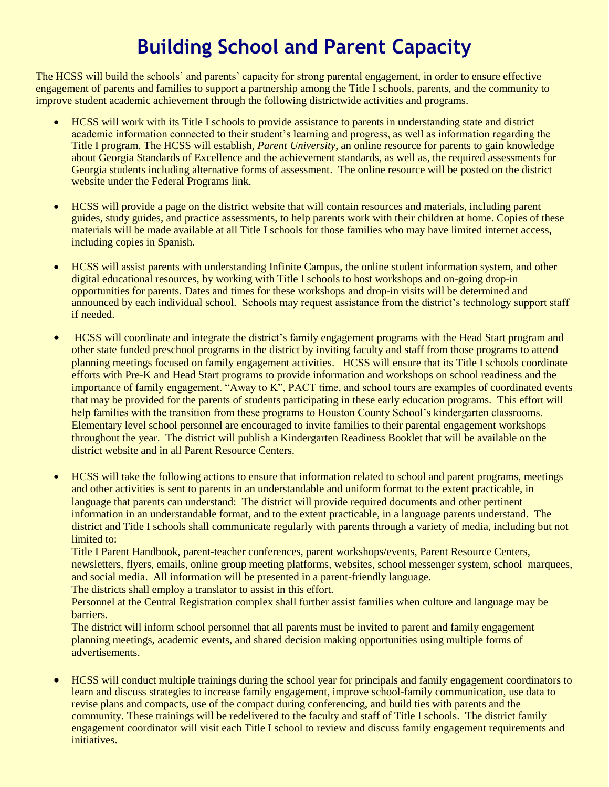# **Building School and Parent Capacity**

The HCSS will build the schools' and parents' capacity for strong parental engagement, in order to ensure effective engagement of parents and families to support a partnership among the Title I schools, parents, and the community to improve student academic achievement through the following districtwide activities and programs.

- HCSS will work with its Title I schools to provide assistance to parents in understanding state and district academic information connected to their student's learning and progress, as well as information regarding the Title I program. The HCSS will establish*, Parent University*, an online resource for parents to gain knowledge about Georgia Standards of Excellence and the achievement standards, as well as, the required assessments for Georgia students including alternative forms of assessment. The online resource will be posted on the district website under the Federal Programs link.
- HCSS will provide a page on the district website that will contain resources and materials, including parent guides, study guides, and practice assessments, to help parents work with their children at home. Copies of these materials will be made available at all Title I schools for those families who may have limited internet access, including copies in Spanish.
- HCSS will assist parents with understanding Infinite Campus, the online student information system, and other digital educational resources, by working with Title I schools to host workshops and on-going drop-in opportunities for parents. Dates and times for these workshops and drop-in visits will be determined and announced by each individual school. Schools may request assistance from the district's technology support staff if needed.
- HCSS will coordinate and integrate the district's family engagement programs with the Head Start program and other state funded preschool programs in the district by inviting faculty and staff from those programs to attend planning meetings focused on family engagement activities. HCSS will ensure that its Title I schools coordinate efforts with Pre-K and Head Start programs to provide information and workshops on school readiness and the importance of family engagement. "Away to K", PACT time, and school tours are examples of coordinated events that may be provided for the parents of students participating in these early education programs. This effort will help families with the transition from these programs to Houston County School's kindergarten classrooms. Elementary level school personnel are encouraged to invite families to their parental engagement workshops throughout the year. The district will publish a Kindergarten Readiness Booklet that will be available on the district website and in all Parent Resource Centers.
- HCSS will take the following actions to ensure that information related to school and parent programs, meetings and other activities is sent to parents in an understandable and uniform format to the extent practicable, in language that parents can understand: The district will provide required documents and other pertinent information in an understandable format, and to the extent practicable, in a language parents understand. The district and Title I schools shall communicate regularly with parents through a variety of media, including but not limited to:

Title I Parent Handbook, parent-teacher conferences, parent workshops/events, Parent Resource Centers, newsletters, flyers, emails, online group meeting platforms, websites, school messenger system, school marquees, and social media. All information will be presented in a parent-friendly language.

The districts shall employ a translator to assist in this effort.

Personnel at the Central Registration complex shall further assist families when culture and language may be barriers.

The district will inform school personnel that all parents must be invited to parent and family engagement planning meetings, academic events, and shared decision making opportunities using multiple forms of advertisements.

 HCSS will conduct multiple trainings during the school year for principals and family engagement coordinators to learn and discuss strategies to increase family engagement, improve school-family communication, use data to revise plans and compacts, use of the compact during conferencing, and build ties with parents and the community. These trainings will be redelivered to the faculty and staff of Title I schools. The district family engagement coordinator will visit each Title I school to review and discuss family engagement requirements and initiatives.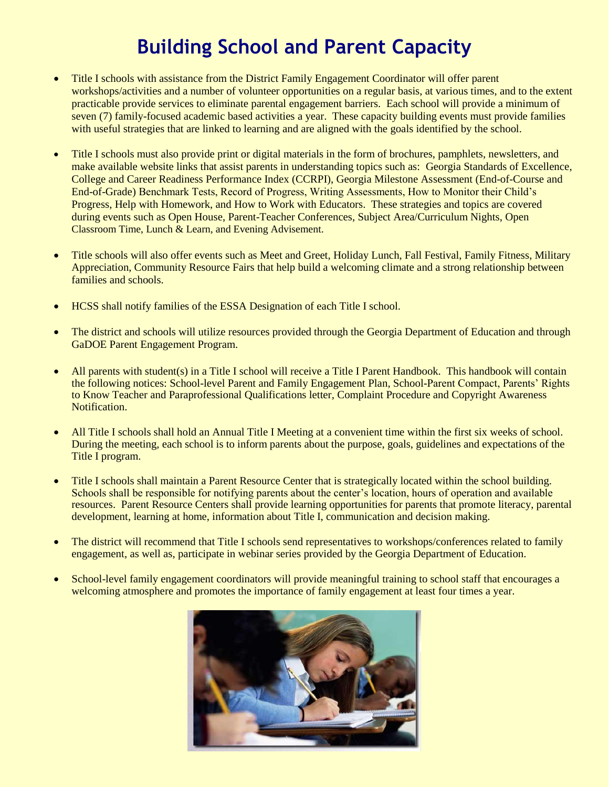# **Building School and Parent Capacity**

- Title I schools with assistance from the District Family Engagement Coordinator will offer parent workshops/activities and a number of volunteer opportunities on a regular basis, at various times, and to the extent practicable provide services to eliminate parental engagement barriers. Each school will provide a minimum of seven (7) family-focused academic based activities a year. These capacity building events must provide families with useful strategies that are linked to learning and are aligned with the goals identified by the school.
- Title I schools must also provide print or digital materials in the form of brochures, pamphlets, newsletters, and make available website links that assist parents in understanding topics such as: Georgia Standards of Excellence, College and Career Readiness Performance Index (CCRPI), Georgia Milestone Assessment (End-of-Course and End-of-Grade) Benchmark Tests, Record of Progress, Writing Assessments, How to Monitor their Child's Progress, Help with Homework, and How to Work with Educators. These strategies and topics are covered during events such as Open House, Parent-Teacher Conferences, Subject Area/Curriculum Nights, Open Classroom Time, Lunch & Learn, and Evening Advisement.
- Title schools will also offer events such as Meet and Greet, Holiday Lunch, Fall Festival, Family Fitness, Military Appreciation, Community Resource Fairs that help build a welcoming climate and a strong relationship between families and schools.
- HCSS shall notify families of the ESSA Designation of each Title I school.
- The district and schools will utilize resources provided through the Georgia Department of Education and through GaDOE Parent Engagement Program.
- All parents with student(s) in a Title I school will receive a Title I Parent Handbook. This handbook will contain the following notices: School-level Parent and Family Engagement Plan, School-Parent Compact, Parents' Rights to Know Teacher and Paraprofessional Qualifications letter, Complaint Procedure and Copyright Awareness Notification.
- All Title I schools shall hold an Annual Title I Meeting at a convenient time within the first six weeks of school. During the meeting, each school is to inform parents about the purpose, goals, guidelines and expectations of the Title I program.
- Title I schools shall maintain a Parent Resource Center that is strategically located within the school building. Schools shall be responsible for notifying parents about the center's location, hours of operation and available resources. Parent Resource Centers shall provide learning opportunities for parents that promote literacy, parental development, learning at home, information about Title I, communication and decision making.
- The district will recommend that Title I schools send representatives to workshops/conferences related to family engagement, as well as, participate in webinar series provided by the Georgia Department of Education.
- School-level family engagement coordinators will provide meaningful training to school staff that encourages a welcoming atmosphere and promotes the importance of family engagement at least four times a year.